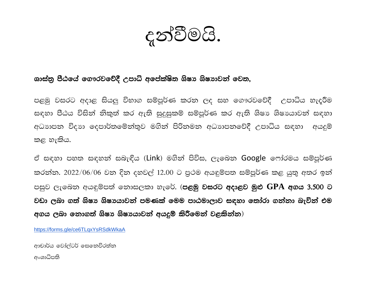දුන්වීමයි.

## ශාස්තු පීඨයේ ගෞරවවේදී උපාධි අපේක්ෂිත ශිෂා ශිෂාාවන් වෙත,

පළමු වසරට අදාළ සියලු විභාග සම්පූර්ණ කරන ලද සහ ගෞරවවේදී උපාධිය හැදුරීම සඳහා පීඨය විසින් නිකුත් කර ඇති සුදුසුකම් සම්පූර්ණ කර ඇති ශිෂා ශිෂායාවන් සඳහා අධාහපන විදාහ දෙපාර්තමේන්තුව මගින් පිරිනමන අධාහපනවේදී උපාධිය සඳහා අයදූම් කළ හැකිය.

ඒ සඳහා පහත සඳහන් සබැඳිය (Link) මගින් පිවිස, ලැබෙන Google ෆෝරමය සම්පුර්ණ කරන්න. 2022/06/06 වන දින දහවල් 12.00 ට පුථම අයඳුම්පත සම්පූර්ණ කළ යුතු අතර ඉන් පසුව ලැබෙන අයඳුම්පත් නොසලකා හැරේ. (**පළමු වසරට අදාළව මුළු GPA අගය 3.500 ට** වඩා ලබා ගත් ශිෂා ශිෂායාවන් පමණක් මෙම පාඨමාලාව සඳහා තෝරා ගන්නා බැවින් එම අගය ලබා නොගත් ශිෂා ශිෂායාවන් අයදූම් කිරීමෙන් වළකින්න)

https://forms.gle/ce6TLgxYsRSdkWkaA

ආචාර්ය වෝල්ටර් සෙනෙවිරත්න

අංශාධිපති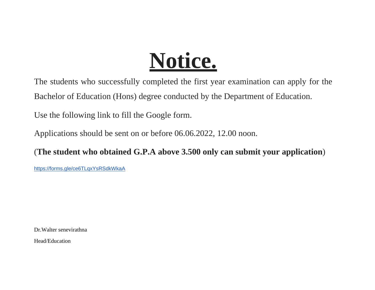## **Notice.**

The students who successfully completed the first year examination can apply for the Bachelor of Education (Hons) degree conducted by the Department of Education.

Use the following link to fill the Google form.

Applications should be sent on or before 06.06.2022, 12.00 noon.

(**The student who obtained G.P.A above 3.500 only can submit your application**)

<https://forms.gle/ce6TLqxYsRSdkWkaA>

Dr.Walter senevirathna

Head/Education